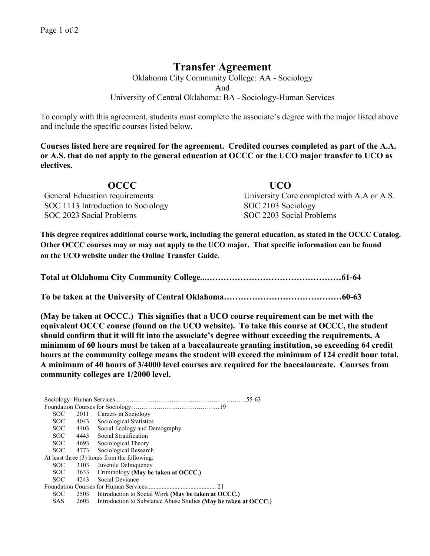## **Transfer Agreement**

Oklahoma City Community College: AA - Sociology And University of Central Oklahoma: BA - Sociology-Human Services

To comply with this agreement, students must complete the associate's degree with the major listed above and include the specific courses listed below.

**Courses listed here are required for the agreement. Credited courses completed as part of the A.A. or A.S. that do not apply to the general education at OCCC or the UCO major transfer to UCO as electives.**

**OCCC UCO**  General Education requirements University Core completed with A.A or A.S. SOC 1113 Introduction to Sociology SOC 2103 Sociology SOC 2023 Social Problems SOC 2203 Social Problems

**This degree requires additional course work, including the general education, as stated in the OCCC Catalog. Other OCCC courses may or may not apply to the UCO major. That specific information can be found on the UCO website under the Online Transfer Guide.**

**(May be taken at OCCC.) This signifies that a UCO course requirement can be met with the equivalent OCCC course (found on the UCO website). To take this course at OCCC, the student should confirm that it will fit into the associate's degree without exceeding the requirements. A minimum of 60 hours must be taken at a baccalaureate granting institution, so exceeding 64 credit hours at the community college means the student will exceed the minimum of 124 credit hour total. A minimum of 40 hours of 3/4000 level courses are required for the baccalaureate. Courses from community colleges are 1/2000 level.**

Sociology- Human Services ……………………………………………………..55-63 Foundation Courses for Sociology……………………………………19 SOC 2011 Careers in Sociology<br>SOC 4043 Sociological Statistics 4043 Sociological Statistics SOC 4403 Social Ecology and Demography SOC 4443 Social Stratification SOC 4693 Sociological Theory SOC 4773 Sociological Research At least three (3) hours from the following: SOC 3103 Juvenile Delinquency SOC 3633 Criminology **(May be taken at OCCC.)** SOC 4243 Social Deviance Foundation Courses for Human Services........................................... 21 SOC 2503 Introduction to Social Work **(May be taken at OCCC.)**<br>SAS 2603 Introduction to Substance Abuse Studies **(May be taken**) 2603 Introduction to Substance Abuse Studies (May be taken at OCCC.)